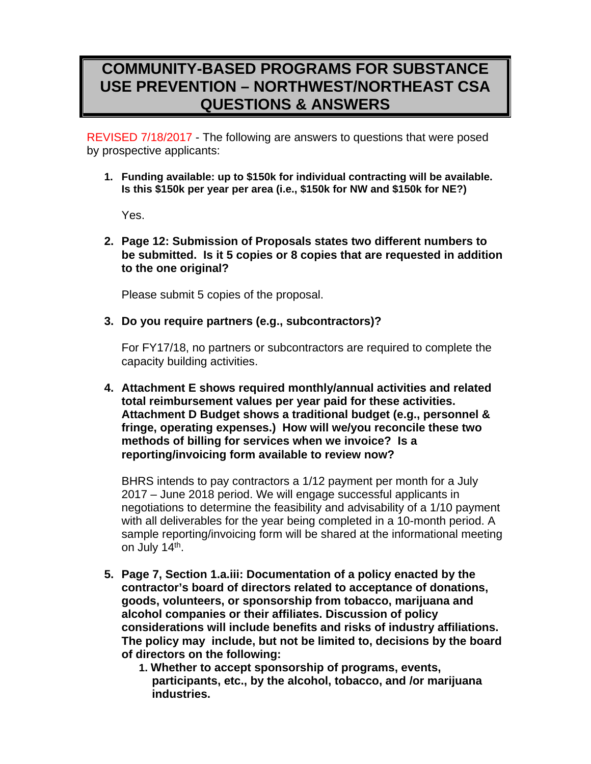## **COMMUNITY-BASED PROGRAMS FOR SUBSTANCE USE PREVENTION – NORTHWEST/NORTHEAST CSA QUESTIONS & ANSWERS**

REVISED 7/18/2017 - The following are answers to questions that were posed by prospective applicants:

**1. Funding available: up to \$150k for individual contracting will be available. Is this \$150k per year per area (i.e., \$150k for NW and \$150k for NE?)** 

Yes.

**2. Page 12: Submission of Proposals states two different numbers to be submitted. Is it 5 copies or 8 copies that are requested in addition to the one original?** 

Please submit 5 copies of the proposal.

**3. Do you require partners (e.g., subcontractors)?** 

For FY17/18, no partners or subcontractors are required to complete the capacity building activities.

**4. Attachment E shows required monthly/annual activities and related total reimbursement values per year paid for these activities. Attachment D Budget shows a traditional budget (e.g., personnel & fringe, operating expenses.) How will we/you reconcile these two methods of billing for services when we invoice? Is a reporting/invoicing form available to review now?** 

BHRS intends to pay contractors a 1/12 payment per month for a July 2017 – June 2018 period. We will engage successful applicants in negotiations to determine the feasibility and advisability of a 1/10 payment with all deliverables for the year being completed in a 10-month period. A sample reporting/invoicing form will be shared at the informational meeting on July 14<sup>th</sup>.

- **5. Page 7, Section 1.a.iii: Documentation of a policy enacted by the contractor's board of directors related to acceptance of donations, goods, volunteers, or sponsorship from tobacco, marijuana and alcohol companies or their affiliates. Discussion of policy considerations will include benefits and risks of industry affiliations. The policy may include, but not be limited to, decisions by the board of directors on the following:** 
	- **1. Whether to accept sponsorship of programs, events, participants, etc., by the alcohol, tobacco, and /or marijuana industries.**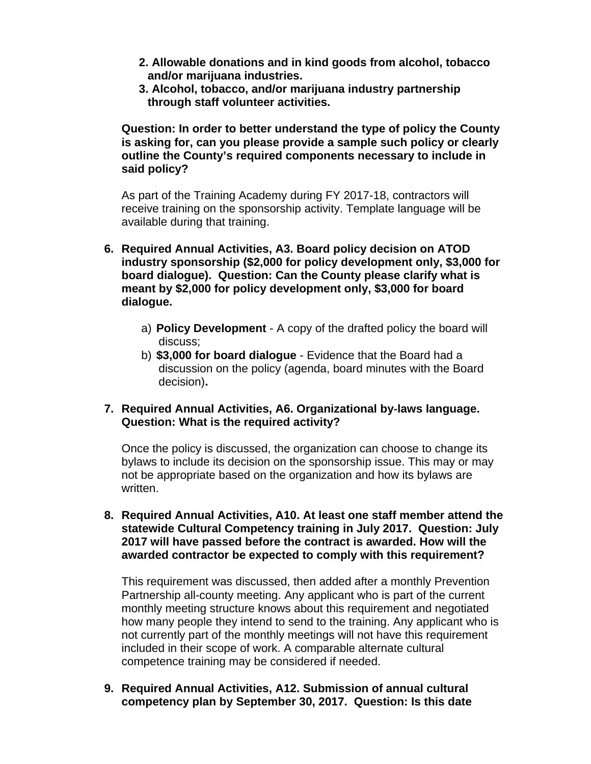- **2. Allowable donations and in kind goods from alcohol, tobacco and/or marijuana industries.**
- **3. Alcohol, tobacco, and/or marijuana industry partnership through staff volunteer activities.**

**Question: In order to better understand the type of policy the County is asking for, can you please provide a sample such policy or clearly outline the County's required components necessary to include in said policy?** 

As part of the Training Academy during FY 2017-18, contractors will receive training on the sponsorship activity. Template language will be available during that training.

- **6. Required Annual Activities, A3. Board policy decision on ATOD industry sponsorship (\$2,000 for policy development only, \$3,000 for board dialogue). Question: Can the County please clarify what is meant by \$2,000 for policy development only, \$3,000 for board dialogue.** 
	- a) **Policy Development** A copy of the drafted policy the board will discuss;
	- b) **\$3,000 for board dialogue**  Evidence that the Board had a discussion on the policy (agenda, board minutes with the Board decision)**.**

## **7. Required Annual Activities, A6. Organizational by**‐**laws language. Question: What is the required activity?**

Once the policy is discussed, the organization can choose to change its bylaws to include its decision on the sponsorship issue. This may or may not be appropriate based on the organization and how its bylaws are written.

**8. Required Annual Activities, A10. At least one staff member attend the statewide Cultural Competency training in July 2017. Question: July 2017 will have passed before the contract is awarded. How will the awarded contractor be expected to comply with this requirement?** 

This requirement was discussed, then added after a monthly Prevention Partnership all-county meeting. Any applicant who is part of the current monthly meeting structure knows about this requirement and negotiated how many people they intend to send to the training. Any applicant who is not currently part of the monthly meetings will not have this requirement included in their scope of work. A comparable alternate cultural competence training may be considered if needed.

**9. Required Annual Activities, A12. Submission of annual cultural competency plan by September 30, 2017. Question: Is this date**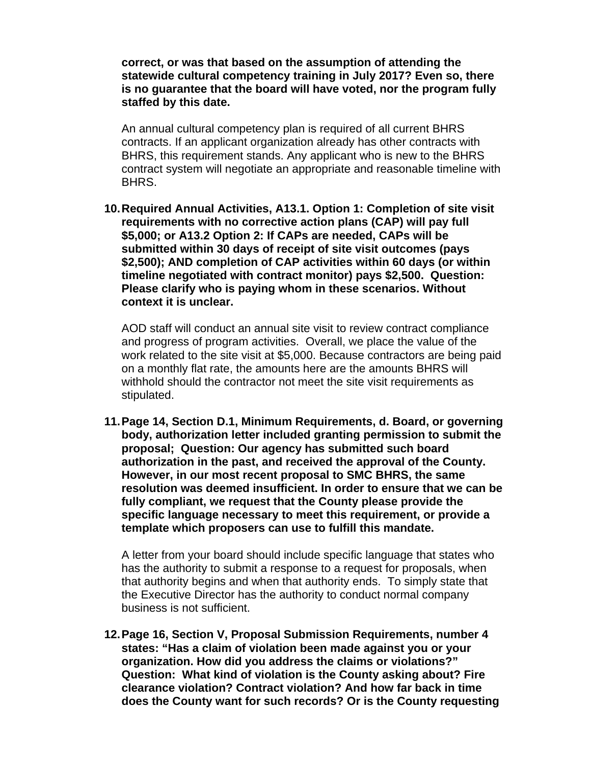**correct, or was that based on the assumption of attending the statewide cultural competency training in July 2017? Even so, there is no guarantee that the board will have voted, nor the program fully staffed by this date.** 

An annual cultural competency plan is required of all current BHRS contracts. If an applicant organization already has other contracts with BHRS, this requirement stands. Any applicant who is new to the BHRS contract system will negotiate an appropriate and reasonable timeline with BHRS.

**10. Required Annual Activities, A13.1. Option 1: Completion of site visit requirements with no corrective action plans (CAP) will pay full \$5,000; or A13.2 Option 2: If CAPs are needed, CAPs will be submitted within 30 days of receipt of site visit outcomes (pays \$2,500); AND completion of CAP activities within 60 days (or within timeline negotiated with contract monitor) pays \$2,500. Question: Please clarify who is paying whom in these scenarios. Without context it is unclear.** 

AOD staff will conduct an annual site visit to review contract compliance and progress of program activities. Overall, we place the value of the work related to the site visit at \$5,000. Because contractors are being paid on a monthly flat rate, the amounts here are the amounts BHRS will withhold should the contractor not meet the site visit requirements as stipulated.

**11. Page 14, Section D.1, Minimum Requirements, d. Board, or governing body, authorization letter included granting permission to submit the proposal; Question: Our agency has submitted such board authorization in the past, and received the approval of the County. However, in our most recent proposal to SMC BHRS, the same resolution was deemed insufficient. In order to ensure that we can be fully compliant, we request that the County please provide the specific language necessary to meet this requirement, or provide a template which proposers can use to fulfill this mandate.** 

A letter from your board should include specific language that states who has the authority to submit a response to a request for proposals, when that authority begins and when that authority ends. To simply state that the Executive Director has the authority to conduct normal company business is not sufficient.

**12. Page 16, Section V, Proposal Submission Requirements, number 4 states: "Has a claim of violation been made against you or your organization. How did you address the claims or violations?" Question: What kind of violation is the County asking about? Fire clearance violation? Contract violation? And how far back in time does the County want for such records? Or is the County requesting**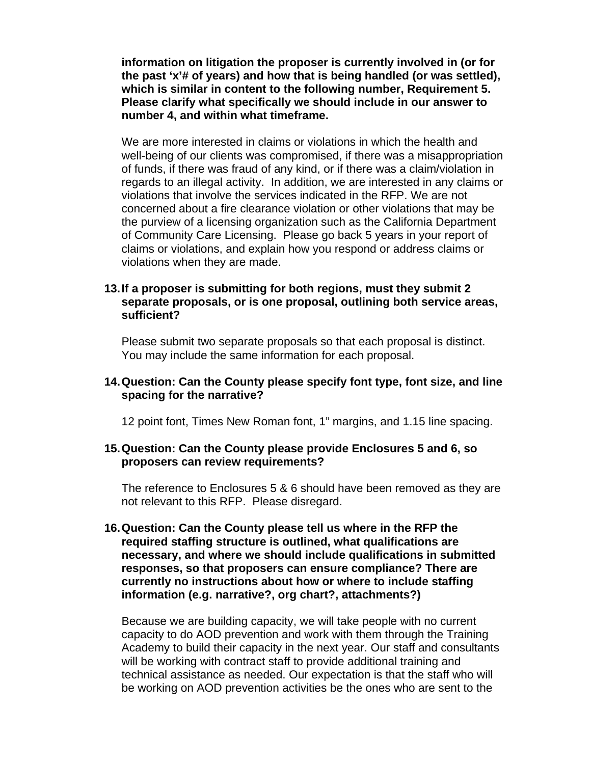**information on litigation the proposer is currently involved in (or for the past 'x'# of years) and how that is being handled (or was settled), which is similar in content to the following number, Requirement 5. Please clarify what specifically we should include in our answer to number 4, and within what timeframe.** 

We are more interested in claims or violations in which the health and well-being of our clients was compromised, if there was a misappropriation of funds, if there was fraud of any kind, or if there was a claim/violation in regards to an illegal activity. In addition, we are interested in any claims or violations that involve the services indicated in the RFP. We are not concerned about a fire clearance violation or other violations that may be the purview of a licensing organization such as the California Department of Community Care Licensing. Please go back 5 years in your report of claims or violations, and explain how you respond or address claims or violations when they are made.

#### **13. If a proposer is submitting for both regions, must they submit 2 separate proposals, or is one proposal, outlining both service areas, sufficient?**

Please submit two separate proposals so that each proposal is distinct. You may include the same information for each proposal.

#### **14. Question: Can the County please specify font type, font size, and line spacing for the narrative?**

12 point font, Times New Roman font, 1" margins, and 1.15 line spacing.

#### **15. Question: Can the County please provide Enclosures 5 and 6, so proposers can review requirements?**

The reference to Enclosures 5 & 6 should have been removed as they are not relevant to this RFP. Please disregard.

**16. Question: Can the County please tell us where in the RFP the required staffing structure is outlined, what qualifications are necessary, and where we should include qualifications in submitted responses, so that proposers can ensure compliance? There are currently no instructions about how or where to include staffing information (e.g. narrative?, org chart?, attachments?)** 

Because we are building capacity, we will take people with no current capacity to do AOD prevention and work with them through the Training Academy to build their capacity in the next year. Our staff and consultants will be working with contract staff to provide additional training and technical assistance as needed. Our expectation is that the staff who will be working on AOD prevention activities be the ones who are sent to the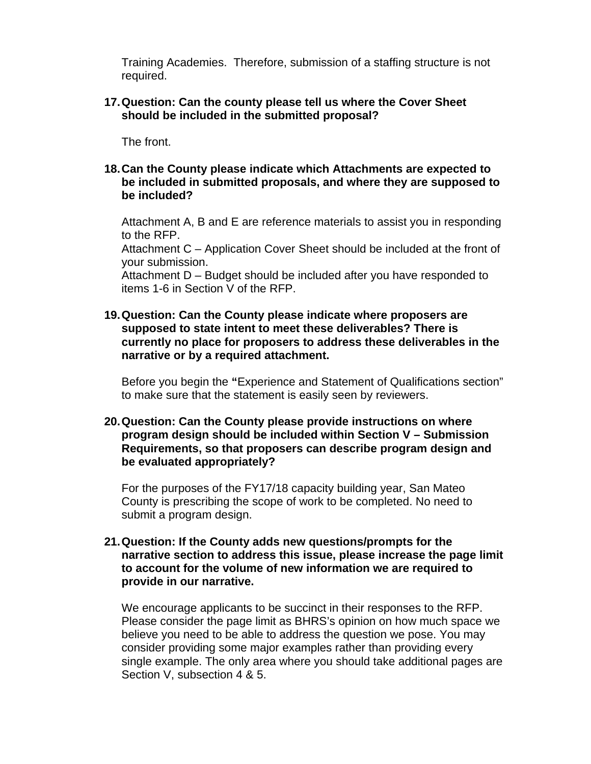Training Academies. Therefore, submission of a staffing structure is not required.

#### **17. Question: Can the county please tell us where the Cover Sheet should be included in the submitted proposal?**

The front.

**18. Can the County please indicate which Attachments are expected to be included in submitted proposals, and where they are supposed to be included?** 

Attachment A, B and E are reference materials to assist you in responding to the RFP.

Attachment C – Application Cover Sheet should be included at the front of your submission.

Attachment D – Budget should be included after you have responded to items 1-6 in Section V of the RFP.

**19. Question: Can the County please indicate where proposers are supposed to state intent to meet these deliverables? There is currently no place for proposers to address these deliverables in the narrative or by a required attachment.** 

Before you begin the **"**Experience and Statement of Qualifications section" to make sure that the statement is easily seen by reviewers.

**20. Question: Can the County please provide instructions on where program design should be included within Section V – Submission Requirements, so that proposers can describe program design and be evaluated appropriately?** 

For the purposes of the FY17/18 capacity building year, San Mateo County is prescribing the scope of work to be completed. No need to submit a program design.

**21. Question: If the County adds new questions/prompts for the narrative section to address this issue, please increase the page limit to account for the volume of new information we are required to provide in our narrative.** 

We encourage applicants to be succinct in their responses to the RFP. Please consider the page limit as BHRS's opinion on how much space we believe you need to be able to address the question we pose. You may consider providing some major examples rather than providing every single example. The only area where you should take additional pages are Section V, subsection 4 & 5.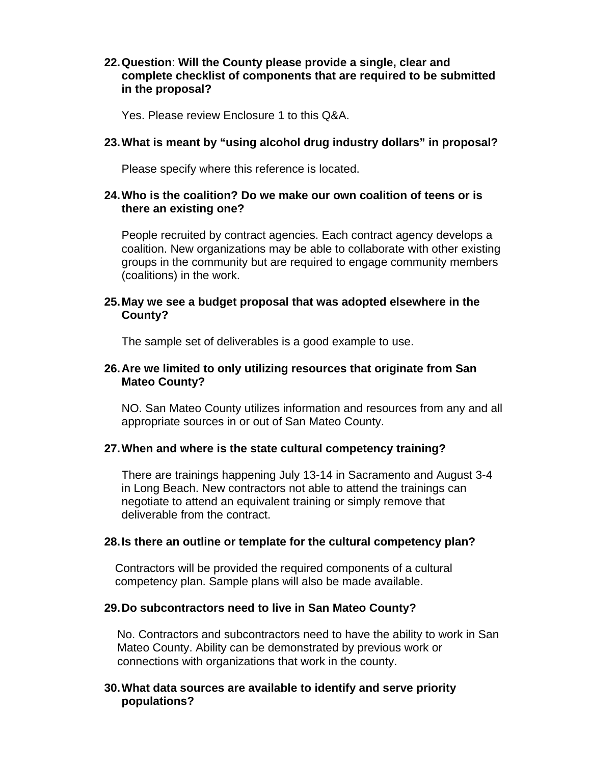#### **22. Question**: **Will the County please provide a single, clear and complete checklist of components that are required to be submitted in the proposal?**

Yes. Please review Enclosure 1 to this Q&A.

## **23. What is meant by "using alcohol drug industry dollars" in proposal?**

Please specify where this reference is located.

#### **24. Who is the coalition? Do we make our own coalition of teens or is there an existing one?**

People recruited by contract agencies. Each contract agency develops a coalition. New organizations may be able to collaborate with other existing groups in the community but are required to engage community members (coalitions) in the work.

#### **25. May we see a budget proposal that was adopted elsewhere in the County?**

The sample set of deliverables is a good example to use.

## **26. Are we limited to only utilizing resources that originate from San Mateo County?**

NO. San Mateo County utilizes information and resources from any and all appropriate sources in or out of San Mateo County.

#### **27. When and where is the state cultural competency training?**

There are trainings happening July 13-14 in Sacramento and August 3-4 in Long Beach. New contractors not able to attend the trainings can negotiate to attend an equivalent training or simply remove that deliverable from the contract.

#### **28. Is there an outline or template for the cultural competency plan?**

Contractors will be provided the required components of a cultural competency plan. Sample plans will also be made available.

#### **29. Do subcontractors need to live in San Mateo County?**

No. Contractors and subcontractors need to have the ability to work in San Mateo County. Ability can be demonstrated by previous work or connections with organizations that work in the county.

## **30. What data sources are available to identify and serve priority populations?**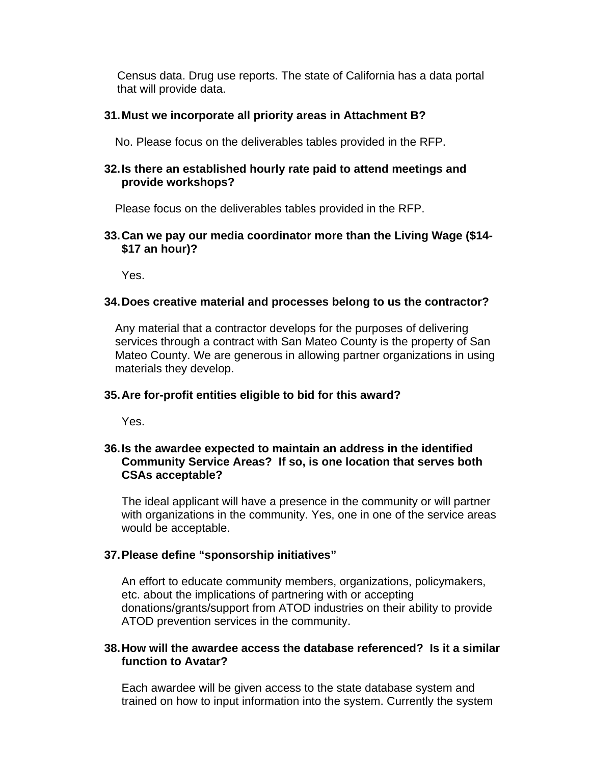Census data. Drug use reports. The state of California has a data portal that will provide data.

## **31. Must we incorporate all priority areas in Attachment B?**

No. Please focus on the deliverables tables provided in the RFP.

#### **32. Is there an established hourly rate paid to attend meetings and provide workshops?**

Please focus on the deliverables tables provided in the RFP.

## **33. Can we pay our media coordinator more than the Living Wage (\$14- \$17 an hour)?**

Yes.

## **34. Does creative material and processes belong to us the contractor?**

Any material that a contractor develops for the purposes of delivering services through a contract with San Mateo County is the property of San Mateo County. We are generous in allowing partner organizations in using materials they develop.

## **35. Are for-profit entities eligible to bid for this award?**

Yes.

## **36. Is the awardee expected to maintain an address in the identified Community Service Areas? If so, is one location that serves both CSAs acceptable?**

The ideal applicant will have a presence in the community or will partner with organizations in the community. Yes, one in one of the service areas would be acceptable.

## **37. Please define "sponsorship initiatives"**

An effort to educate community members, organizations, policymakers, etc. about the implications of partnering with or accepting donations/grants/support from ATOD industries on their ability to provide ATOD prevention services in the community.

## **38. How will the awardee access the database referenced? Is it a similar function to Avatar?**

Each awardee will be given access to the state database system and trained on how to input information into the system. Currently the system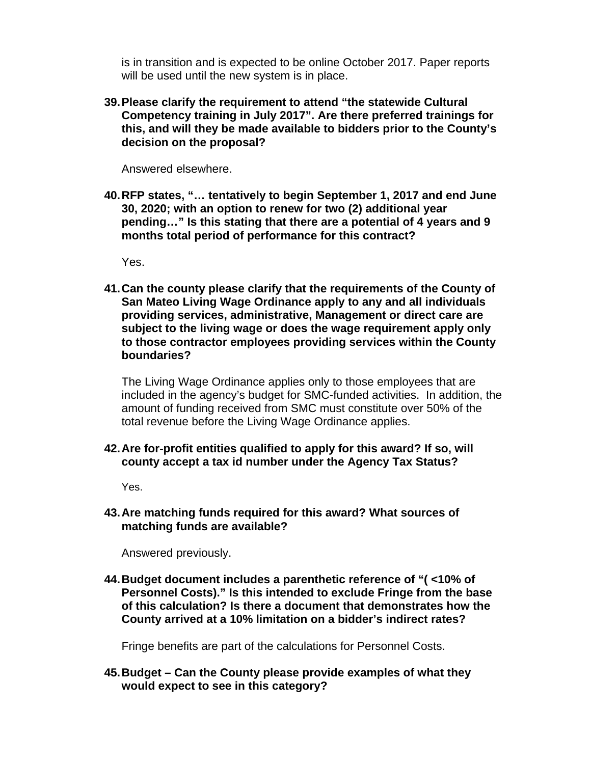is in transition and is expected to be online October 2017. Paper reports will be used until the new system is in place.

**39. Please clarify the requirement to attend "the statewide Cultural Competency training in July 2017". Are there preferred trainings for this, and will they be made available to bidders prior to the County's decision on the proposal?** 

Answered elsewhere.

**40. RFP states, "… tentatively to begin September 1, 2017 and end June 30, 2020; with an option to renew for two (2) additional year pending…" Is this stating that there are a potential of 4 years and 9 months total period of performance for this contract?** 

Yes.

**41. Can the county please clarify that the requirements of the County of San Mateo Living Wage Ordinance apply to any and all individuals providing services, administrative, Management or direct care are subject to the living wage or does the wage requirement apply only to those contractor employees providing services within the County boundaries?** 

The Living Wage Ordinance applies only to those employees that are included in the agency's budget for SMC-funded activities. In addition, the amount of funding received from SMC must constitute over 50% of the total revenue before the Living Wage Ordinance applies.

**42. Are for**‐**profit entities qualified to apply for this award? If so, will county accept a tax id number under the Agency Tax Status?** 

Yes.

**43. Are matching funds required for this award? What sources of matching funds are available?** 

Answered previously.

**44. Budget document includes a parenthetic reference of "( <10% of Personnel Costs)." Is this intended to exclude Fringe from the base of this calculation? Is there a document that demonstrates how the County arrived at a 10% limitation on a bidder's indirect rates?** 

Fringe benefits are part of the calculations for Personnel Costs.

**45. Budget – Can the County please provide examples of what they would expect to see in this category?**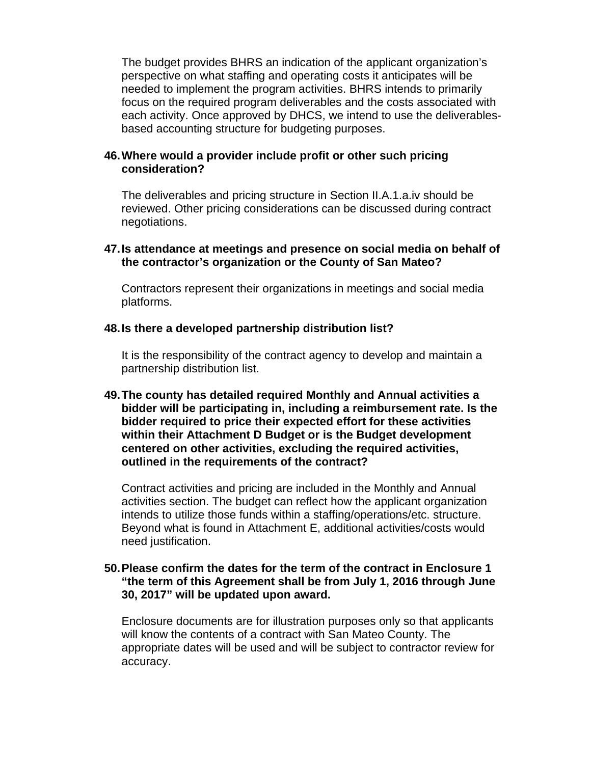The budget provides BHRS an indication of the applicant organization's perspective on what staffing and operating costs it anticipates will be needed to implement the program activities. BHRS intends to primarily focus on the required program deliverables and the costs associated with each activity. Once approved by DHCS, we intend to use the deliverablesbased accounting structure for budgeting purposes.

#### **46. Where would a provider include profit or other such pricing consideration?**

The deliverables and pricing structure in Section II.A.1.a.iv should be reviewed. Other pricing considerations can be discussed during contract negotiations.

#### **47. Is attendance at meetings and presence on social media on behalf of the contractor's organization or the County of San Mateo?**

Contractors represent their organizations in meetings and social media platforms.

#### **48. Is there a developed partnership distribution list?**

It is the responsibility of the contract agency to develop and maintain a partnership distribution list.

**49. The county has detailed required Monthly and Annual activities a bidder will be participating in, including a reimbursement rate. Is the bidder required to price their expected effort for these activities within their Attachment D Budget or is the Budget development centered on other activities, excluding the required activities, outlined in the requirements of the contract?** 

Contract activities and pricing are included in the Monthly and Annual activities section. The budget can reflect how the applicant organization intends to utilize those funds within a staffing/operations/etc. structure. Beyond what is found in Attachment E, additional activities/costs would need justification.

#### **50. Please confirm the dates for the term of the contract in Enclosure 1 "the term of this Agreement shall be from July 1, 2016 through June 30, 2017" will be updated upon award.**

Enclosure documents are for illustration purposes only so that applicants will know the contents of a contract with San Mateo County. The appropriate dates will be used and will be subject to contractor review for accuracy.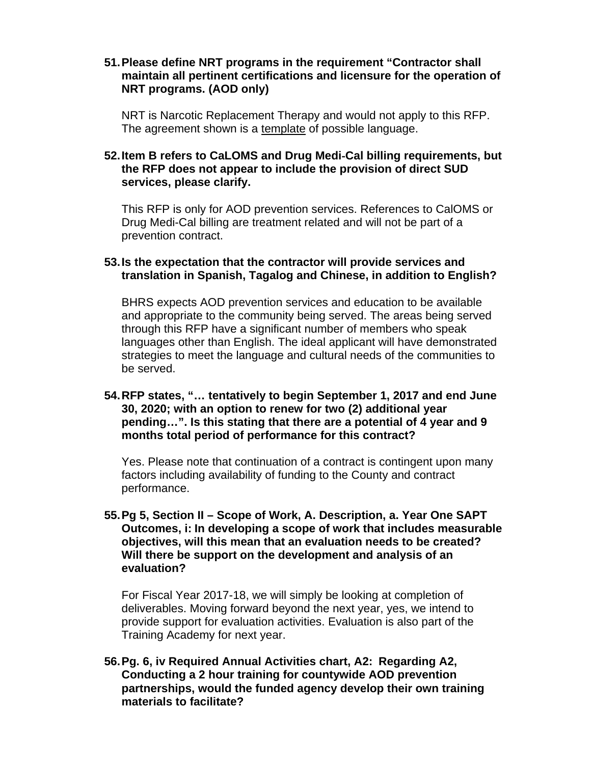#### **51. Please define NRT programs in the requirement "Contractor shall maintain all pertinent certifications and licensure for the operation of NRT programs. (AOD only)**

NRT is Narcotic Replacement Therapy and would not apply to this RFP. The agreement shown is a template of possible language.

## **52. Item B refers to CaLOMS and Drug Medi**‐**Cal billing requirements, but the RFP does not appear to include the provision of direct SUD services, please clarify.**

This RFP is only for AOD prevention services. References to CalOMS or Drug Medi-Cal billing are treatment related and will not be part of a prevention contract.

#### **53. Is the expectation that the contractor will provide services and translation in Spanish, Tagalog and Chinese, in addition to English?**

BHRS expects AOD prevention services and education to be available and appropriate to the community being served. The areas being served through this RFP have a significant number of members who speak languages other than English. The ideal applicant will have demonstrated strategies to meet the language and cultural needs of the communities to be served.

#### **54. RFP states, "… tentatively to begin September 1, 2017 and end June 30, 2020; with an option to renew for two (2) additional year pending…". Is this stating that there are a potential of 4 year and 9 months total period of performance for this contract?**

Yes. Please note that continuation of a contract is contingent upon many factors including availability of funding to the County and contract performance.

#### **55. Pg 5, Section II – Scope of Work, A. Description, a. Year One SAPT Outcomes, i: In developing a scope of work that includes measurable objectives, will this mean that an evaluation needs to be created? Will there be support on the development and analysis of an evaluation?**

For Fiscal Year 2017-18, we will simply be looking at completion of deliverables. Moving forward beyond the next year, yes, we intend to provide support for evaluation activities. Evaluation is also part of the Training Academy for next year.

**56. Pg. 6, iv Required Annual Activities chart, A2: Regarding A2, Conducting a 2 hour training for countywide AOD prevention partnerships, would the funded agency develop their own training materials to facilitate?**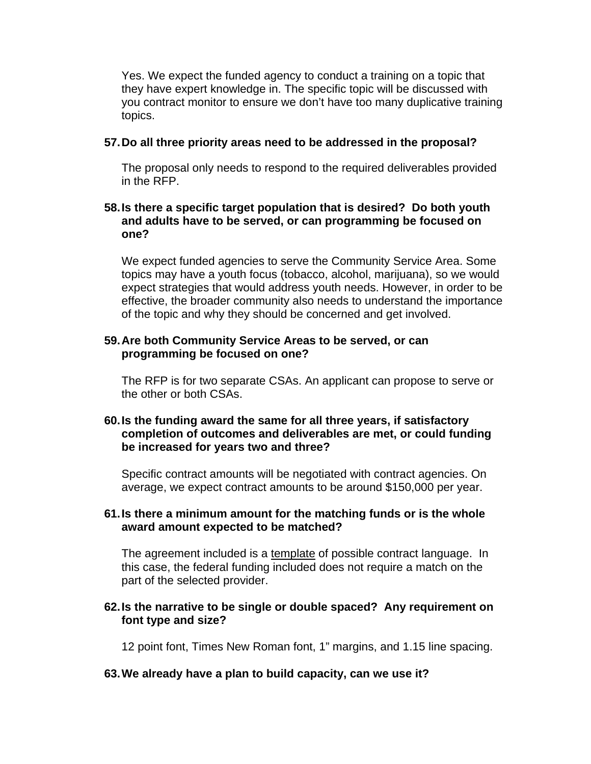Yes. We expect the funded agency to conduct a training on a topic that they have expert knowledge in. The specific topic will be discussed with you contract monitor to ensure we don't have too many duplicative training topics.

#### **57. Do all three priority areas need to be addressed in the proposal?**

The proposal only needs to respond to the required deliverables provided in the RFP.

#### **58. Is there a specific target population that is desired? Do both youth and adults have to be served, or can programming be focused on one?**

We expect funded agencies to serve the Community Service Area. Some topics may have a youth focus (tobacco, alcohol, marijuana), so we would expect strategies that would address youth needs. However, in order to be effective, the broader community also needs to understand the importance of the topic and why they should be concerned and get involved.

#### **59. Are both Community Service Areas to be served, or can programming be focused on one?**

The RFP is for two separate CSAs. An applicant can propose to serve or the other or both CSAs.

#### **60. Is the funding award the same for all three years, if satisfactory completion of outcomes and deliverables are met, or could funding be increased for years two and three?**

Specific contract amounts will be negotiated with contract agencies. On average, we expect contract amounts to be around \$150,000 per year.

#### **61. Is there a minimum amount for the matching funds or is the whole award amount expected to be matched?**

The agreement included is a template of possible contract language. In this case, the federal funding included does not require a match on the part of the selected provider.

#### **62. Is the narrative to be single or double spaced? Any requirement on font type and size?**

12 point font, Times New Roman font, 1" margins, and 1.15 line spacing.

#### **63. We already have a plan to build capacity, can we use it?**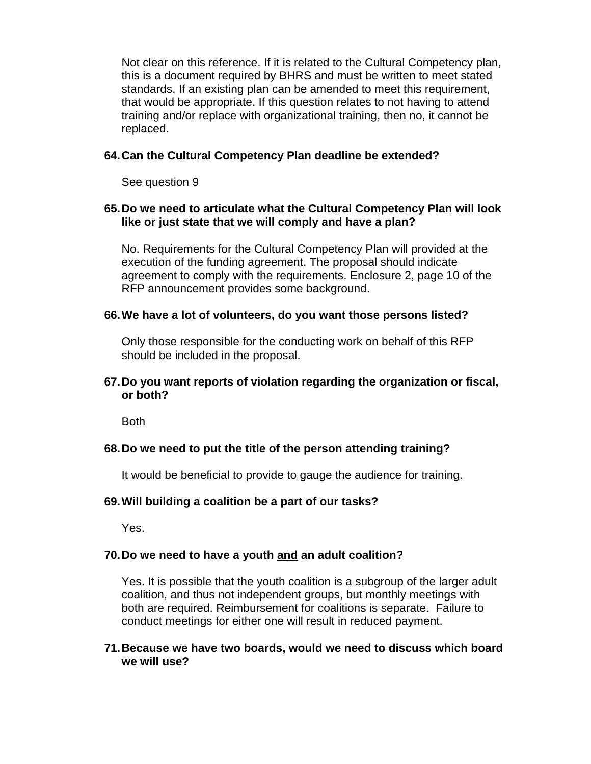Not clear on this reference. If it is related to the Cultural Competency plan, this is a document required by BHRS and must be written to meet stated standards. If an existing plan can be amended to meet this requirement, that would be appropriate. If this question relates to not having to attend training and/or replace with organizational training, then no, it cannot be replaced.

## **64. Can the Cultural Competency Plan deadline be extended?**

See question 9

#### **65. Do we need to articulate what the Cultural Competency Plan will look like or just state that we will comply and have a plan?**

No. Requirements for the Cultural Competency Plan will provided at the execution of the funding agreement. The proposal should indicate agreement to comply with the requirements. Enclosure 2, page 10 of the RFP announcement provides some background.

#### **66. We have a lot of volunteers, do you want those persons listed?**

Only those responsible for the conducting work on behalf of this RFP should be included in the proposal.

## **67. Do you want reports of violation regarding the organization or fiscal, or both?**

Both

#### **68. Do we need to put the title of the person attending training?**

It would be beneficial to provide to gauge the audience for training.

#### **69. Will building a coalition be a part of our tasks?**

Yes.

#### **70. Do we need to have a youth and an adult coalition?**

Yes. It is possible that the youth coalition is a subgroup of the larger adult coalition, and thus not independent groups, but monthly meetings with both are required. Reimbursement for coalitions is separate. Failure to conduct meetings for either one will result in reduced payment.

#### **71. Because we have two boards, would we need to discuss which board we will use?**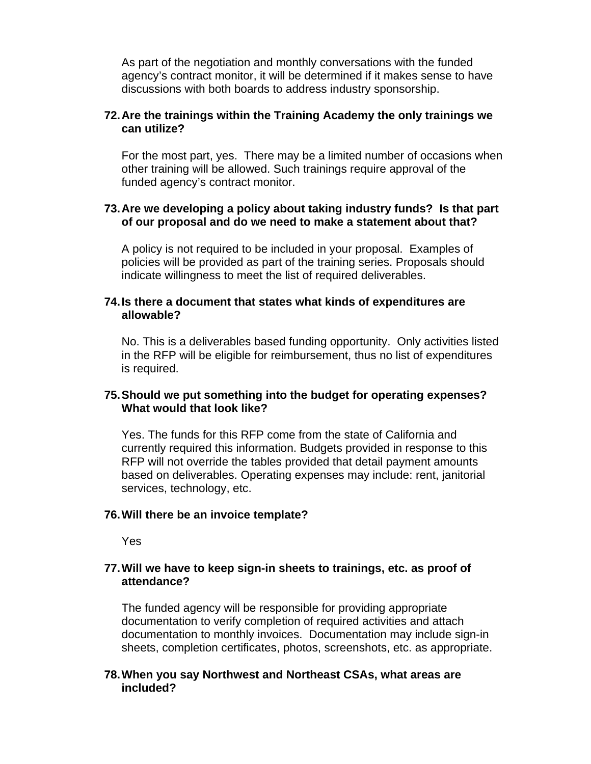As part of the negotiation and monthly conversations with the funded agency's contract monitor, it will be determined if it makes sense to have discussions with both boards to address industry sponsorship.

#### **72. Are the trainings within the Training Academy the only trainings we can utilize?**

For the most part, yes. There may be a limited number of occasions when other training will be allowed. Such trainings require approval of the funded agency's contract monitor.

#### **73. Are we developing a policy about taking industry funds? Is that part of our proposal and do we need to make a statement about that?**

A policy is not required to be included in your proposal. Examples of policies will be provided as part of the training series. Proposals should indicate willingness to meet the list of required deliverables.

#### **74. Is there a document that states what kinds of expenditures are allowable?**

No. This is a deliverables based funding opportunity. Only activities listed in the RFP will be eligible for reimbursement, thus no list of expenditures is required.

#### **75. Should we put something into the budget for operating expenses? What would that look like?**

Yes. The funds for this RFP come from the state of California and currently required this information. Budgets provided in response to this RFP will not override the tables provided that detail payment amounts based on deliverables. Operating expenses may include: rent, janitorial services, technology, etc.

#### **76. Will there be an invoice template?**

Yes

#### **77. Will we have to keep sign-in sheets to trainings, etc. as proof of attendance?**

The funded agency will be responsible for providing appropriate documentation to verify completion of required activities and attach documentation to monthly invoices. Documentation may include sign-in sheets, completion certificates, photos, screenshots, etc. as appropriate.

#### **78. When you say Northwest and Northeast CSAs, what areas are included?**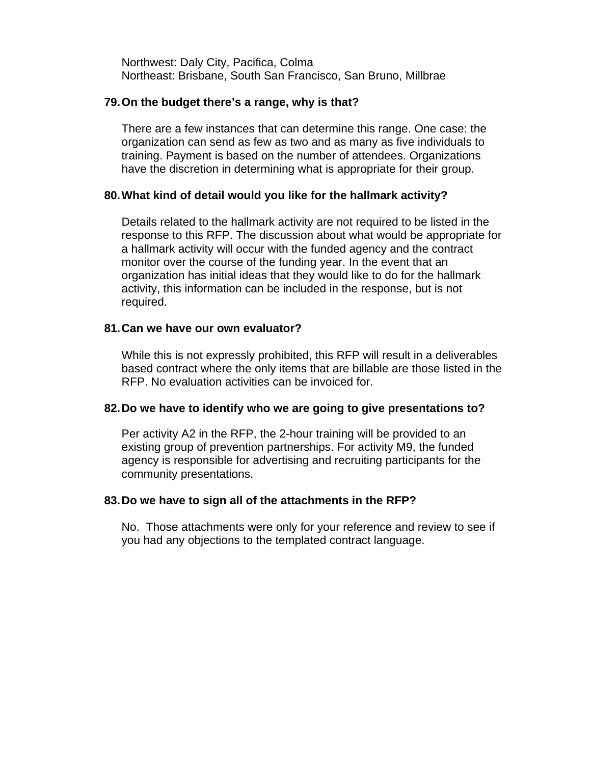Northwest: Daly City, Pacifica, Colma Northeast: Brisbane, South San Francisco, San Bruno, Millbrae

#### **79. On the budget there's a range, why is that?**

There are a few instances that can determine this range. One case: the organization can send as few as two and as many as five individuals to training. Payment is based on the number of attendees. Organizations have the discretion in determining what is appropriate for their group.

#### **80. What kind of detail would you like for the hallmark activity?**

Details related to the hallmark activity are not required to be listed in the response to this RFP. The discussion about what would be appropriate for a hallmark activity will occur with the funded agency and the contract monitor over the course of the funding year. In the event that an organization has initial ideas that they would like to do for the hallmark activity, this information can be included in the response, but is not required.

#### **81. Can we have our own evaluator?**

While this is not expressly prohibited, this RFP will result in a deliverables based contract where the only items that are billable are those listed in the RFP. No evaluation activities can be invoiced for.

#### **82. Do we have to identify who we are going to give presentations to?**

Per activity A2 in the RFP, the 2-hour training will be provided to an existing group of prevention partnerships. For activity M9, the funded agency is responsible for advertising and recruiting participants for the community presentations.

#### **83. Do we have to sign all of the attachments in the RFP?**

No. Those attachments were only for your reference and review to see if you had any objections to the templated contract language.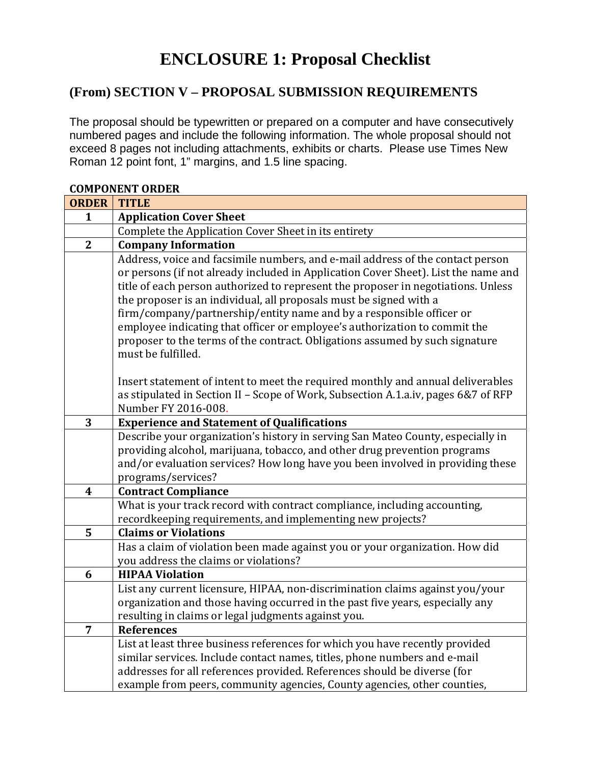# **ENCLOSURE 1: Proposal Checklist**

## **(From) SECTION V – PROPOSAL SUBMISSION REQUIREMENTS**

The proposal should be typewritten or prepared on a computer and have consecutively numbered pages and include the following information. The whole proposal should not exceed 8 pages not including attachments, exhibits or charts. Please use Times New Roman 12 point font, 1" margins, and 1.5 line spacing.

|                  | GOMI ONEN I UNDEN                                                                                                                                                                                                                                                                                                                                                                                                                                                                                                                                                                           |
|------------------|---------------------------------------------------------------------------------------------------------------------------------------------------------------------------------------------------------------------------------------------------------------------------------------------------------------------------------------------------------------------------------------------------------------------------------------------------------------------------------------------------------------------------------------------------------------------------------------------|
| <b>ORDER</b>     | <b>TITLE</b>                                                                                                                                                                                                                                                                                                                                                                                                                                                                                                                                                                                |
| $\mathbf{1}$     | <b>Application Cover Sheet</b>                                                                                                                                                                                                                                                                                                                                                                                                                                                                                                                                                              |
|                  | Complete the Application Cover Sheet in its entirety                                                                                                                                                                                                                                                                                                                                                                                                                                                                                                                                        |
| $\mathbf{2}$     | <b>Company Information</b>                                                                                                                                                                                                                                                                                                                                                                                                                                                                                                                                                                  |
|                  | Address, voice and facsimile numbers, and e-mail address of the contact person<br>or persons (if not already included in Application Cover Sheet). List the name and<br>title of each person authorized to represent the proposer in negotiations. Unless<br>the proposer is an individual, all proposals must be signed with a<br>firm/company/partnership/entity name and by a responsible officer or<br>employee indicating that officer or employee's authorization to commit the<br>proposer to the terms of the contract. Obligations assumed by such signature<br>must be fulfilled. |
|                  | Insert statement of intent to meet the required monthly and annual deliverables<br>as stipulated in Section II - Scope of Work, Subsection A.1.a.iv, pages 6&7 of RFP<br>Number FY 2016-008.                                                                                                                                                                                                                                                                                                                                                                                                |
| 3                | <b>Experience and Statement of Qualifications</b>                                                                                                                                                                                                                                                                                                                                                                                                                                                                                                                                           |
|                  | Describe your organization's history in serving San Mateo County, especially in<br>providing alcohol, marijuana, tobacco, and other drug prevention programs<br>and/or evaluation services? How long have you been involved in providing these<br>programs/services?                                                                                                                                                                                                                                                                                                                        |
| $\boldsymbol{4}$ | <b>Contract Compliance</b>                                                                                                                                                                                                                                                                                                                                                                                                                                                                                                                                                                  |
|                  | What is your track record with contract compliance, including accounting,<br>recordkeeping requirements, and implementing new projects?                                                                                                                                                                                                                                                                                                                                                                                                                                                     |
| 5                | <b>Claims or Violations</b>                                                                                                                                                                                                                                                                                                                                                                                                                                                                                                                                                                 |
|                  | Has a claim of violation been made against you or your organization. How did<br>you address the claims or violations?                                                                                                                                                                                                                                                                                                                                                                                                                                                                       |
| 6                | <b>HIPAA Violation</b>                                                                                                                                                                                                                                                                                                                                                                                                                                                                                                                                                                      |
|                  | List any current licensure, HIPAA, non-discrimination claims against you/your<br>organization and those having occurred in the past five years, especially any<br>resulting in claims or legal judgments against you.                                                                                                                                                                                                                                                                                                                                                                       |
| $\overline{7}$   | <b>References</b>                                                                                                                                                                                                                                                                                                                                                                                                                                                                                                                                                                           |
|                  | List at least three business references for which you have recently provided<br>similar services. Include contact names, titles, phone numbers and e-mail<br>addresses for all references provided. References should be diverse (for<br>example from peers, community agencies, County agencies, other counties,                                                                                                                                                                                                                                                                           |

## **COMPONENT ORDER**